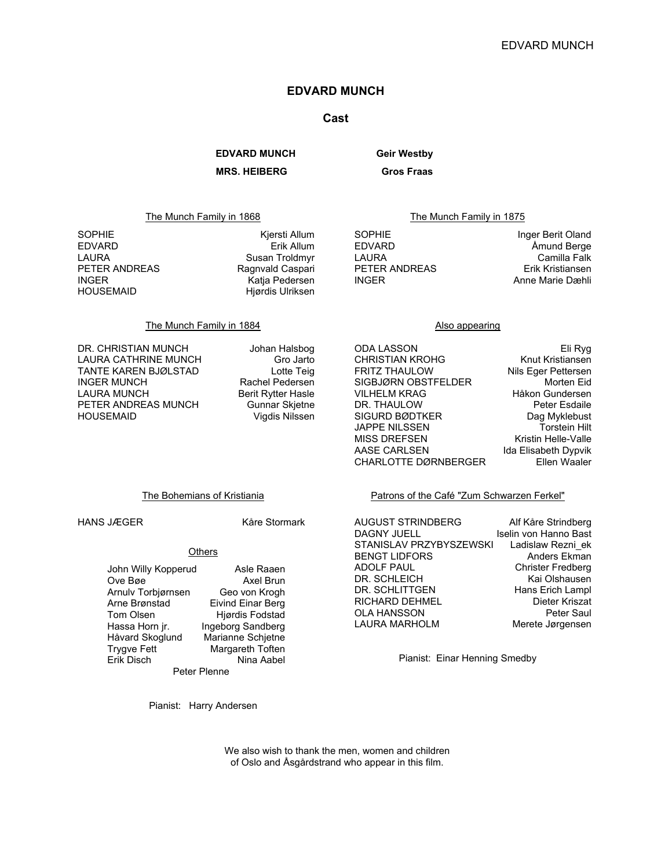# **EDVARD MUNCH**

### **Cast**

### **EDVARD MUNCH Geir Westby**

**MRS. HEIBERG Gros Fraas**

The Munch Family in 1868

Erik Allum

### The Munch Family in 1884

DR. CHRISTIAN MUNCH Johan Halsbog LAURA CATHRINE MUNCH<br>
Gro Jarto TANTE KAREN BJØLSTAD Lotte Teig INGER MUNCH Rachel Pedersen LAURA MUNCH Berit Rytter Hasle PETER ANDREAS MUNCH Gunnar Skjetne HOUSEMAID Vigdis Nilssen

### The Munch Family in 1875

SOPHIE Inger Berit Oland<br>EDVARD Amund Berge Åmund Berge LAURA Camilla Falk PETER ANDREAS Erik Kristiansen INGER Anne Marie Dæhli

### Also appearing

ODA LASSON Eli Ryg CHRISTIAN KROHG Knut Kristiansen FRITZ THAULOW Nils Eger Pettersen SIGBJØRN OBSTFELDER Morten Eid VILHELM KRAG Håkon Gundersen DR. THAULOW Peter Esdaile SIGURD BØDTKER Dag Myklebust JAPPE NILSSEN Torstein Hilt MISS DREFSEN Kristin Helle-Valle AASE CARLSEN Ida Elisabeth Dypvik<br>CHARI OTTE DØRNBERGER Filen Waaler CHARLOTTE DØRNBERGER

## The Bohemians of Kristiania

HANS JÆGER Kåre Stormark

#### **Others**

John Willy Kopperud Asle Raaen Ove Bøe and Brun<br>Arnulv Torbjørnsen Geo von Krogh Arnulv Torbjørnsen<br>Arne Brønstad Arne Brønstad Eivind Einar Berg<br>Tom Olsen Hiørdis Fodstad Tom Olsen Hjørdis Fodstad<br>Hassa Horn jr. Hingeborg Sandberg Ingeborg Sandberg<br>Marianne Schietne Håvard Skoglund Trygve Fett Margareth Toften Erik Disch Nina Aabel Peter Plenne

Pianist: Harry Andersen

Patrons of the Café "Zum Schwarzen Ferkel"

AUGUST STRINDBERG Alf Kåre Strindberg DAGNY JUELL Iselin von Hanno Bast STANISLAV PRZYBYSZEWSKI Ladislaw Rezni\_ek BENGT LIDFORS<br>ADOLF PAUL DR. SCHLEICH Kai Olshausen DR. SCHLITTGEN Hans Erich Lampl RICHARD DEHMEL Dieter Kriszat OLA HANSSON Peter Saul LAURA MARHOLM Merete Jørgensen

Christer Fredberg

Pianist: Einar Henning Smedby

We also wish to thank the men, women and children of Oslo and Åsgårdstrand who appear in this film.

SOPHIE Kjersti Allum<br>EDVARD Erik Allum LAURA Susan Troldmyr PETER ANDREAS Ragnvald Caspari INGER Katja Pedersen HOUSEMAID Hjørdis Ulriksen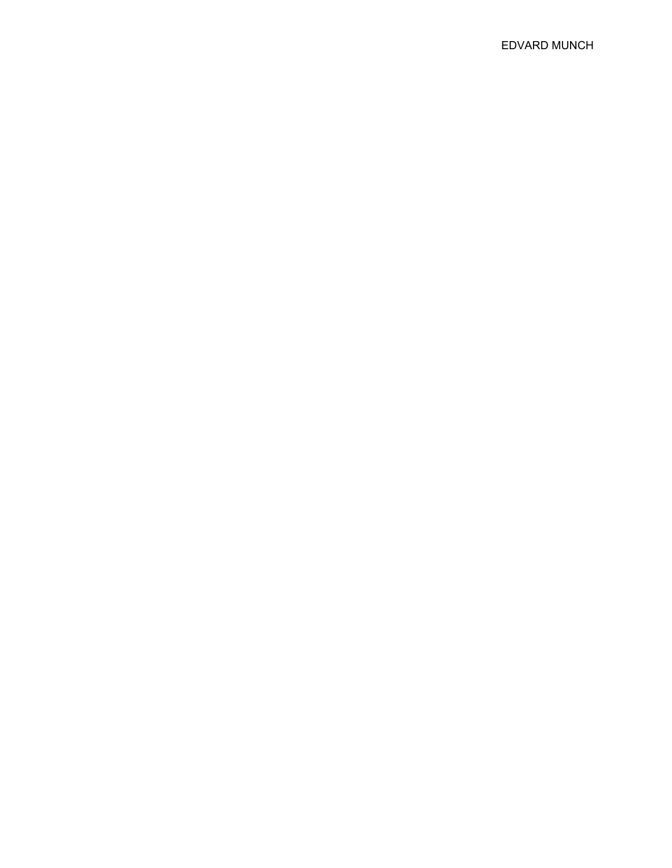# EDVARD MUNCH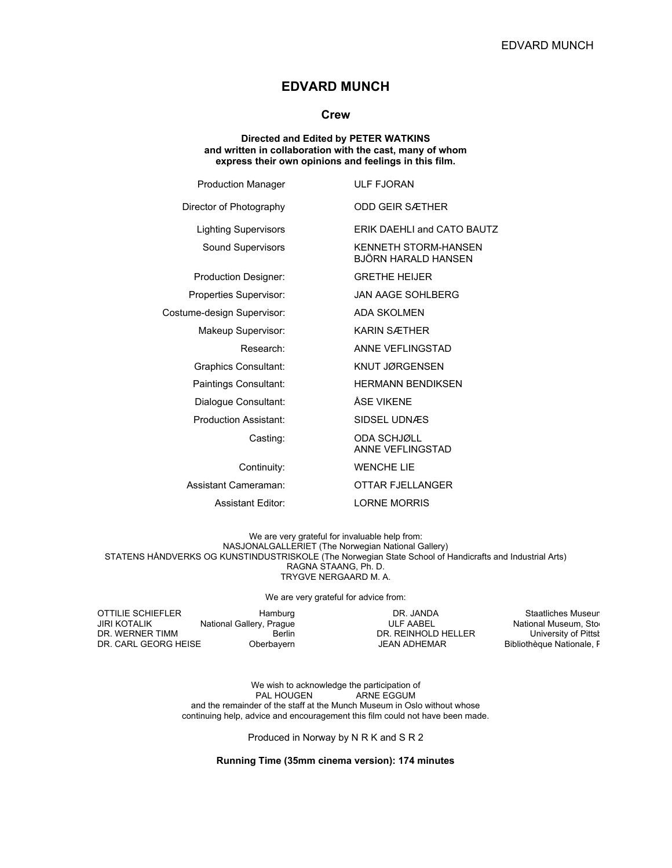# **EDVARD MUNCH**

# **Crew**

### **Directed and Edited by PETER WATKINS and written in collaboration with the cast, many of whom express their own opinions and feelings in this film.**

| <b>Production Manager</b>    | <b>ULF FJORAN</b>                                  |
|------------------------------|----------------------------------------------------|
| Director of Photography      | <b>ODD GEIR SÆTHER</b>                             |
| <b>Lighting Supervisors</b>  | <b>ERIK DAEHLI and CATO BAUTZ</b>                  |
| <b>Sound Supervisors</b>     | <b>KENNETH STORM-HANSEN</b><br>BJÖRN HARALD HANSEN |
| Production Designer:         | <b>GRETHE HEIJER</b>                               |
| Properties Supervisor:       | <b>JAN AAGE SOHLBERG</b>                           |
| Costume-design Supervisor:   | <b>ADA SKOLMEN</b>                                 |
| Makeup Supervisor:           | <b>KARIN SÆTHER</b>                                |
| Research:                    | <b>ANNE VEFLINGSTAD</b>                            |
| Graphics Consultant:         | KNUT JØRGENSEN                                     |
| Paintings Consultant:        | <b>HERMANN BENDIKSEN</b>                           |
| Dialogue Consultant:         | ÅSE VIKENE                                         |
| <b>Production Assistant:</b> | SIDSEL UDNÆS                                       |
| Casting:                     | <b>ODA SCHJØLL</b><br>ANNE VEFLINGSTAD             |
| Continuity:                  | <b>WENCHE LIE</b>                                  |
| Assistant Cameraman:         | OTTAR FJELLANGER                                   |
| <b>Assistant Editor:</b>     | <b>LORNE MORRIS</b>                                |

We are very grateful for invaluable help from: NASJONALGALLERIET (The Norwegian National Gallery) STATENS HÅNDVERKS OG KUNSTINDUSTRISKOLE (The Norwegian State School of Handicrafts and Industrial Arts) RAGNA STAANG, Ph. D. TRYGVE NERGAARD M. A.

We are very grateful for advice from:

OTTILIE SCHIEFLER Hamburg<br>JIRI KOTALIK National Gallery, Prague National Gallery, Prague<br>Berlin DR. WERNER TIMM Berlin<br>DR. CARL GEORG HEISE Oberbayern DR. CARL GEORG HEISE

DR. REINHOLD HELLER<br>JEAN ADHEMAR

DR. JANDA Staatliches Museur<br>
ULF AABEL National Museum, Sto National Museum, Stock<br>University of Pittsk Bibliothèque Nationale, F

We wish to acknowledge the participation of<br>PAL HOUGEN ARNE EGGUM ARNE EGGUM and the remainder of the staff at the Munch Museum in Oslo without whose continuing help, advice and encouragement this film could not have been made.

Produced in Norway by N R K and S R 2

#### **Running Time (35mm cinema version): 174 minutes**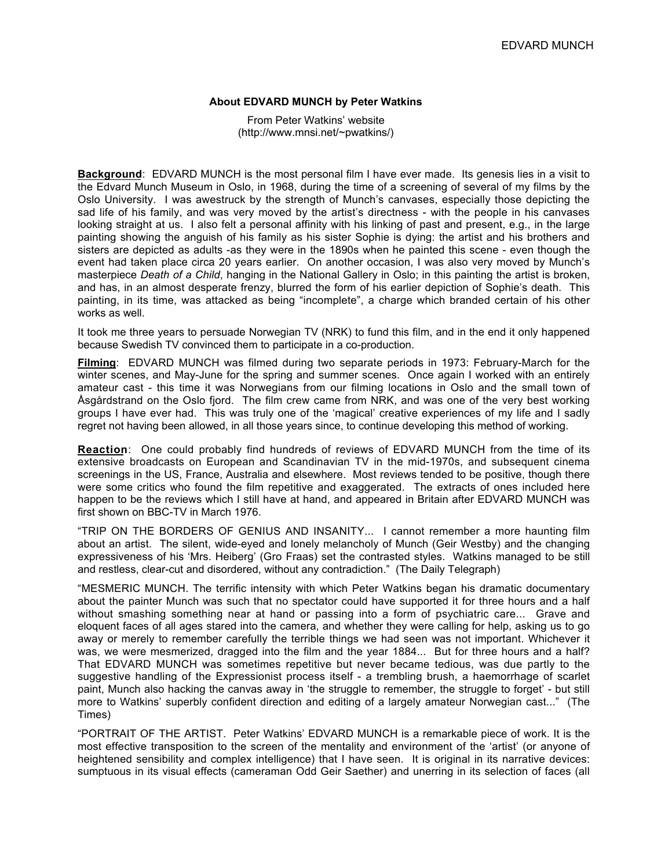# **About EDVARD MUNCH by Peter Watkins**

From Peter Watkins' website (http://www.mnsi.net/~pwatkins/)

**Background**: EDVARD MUNCH is the most personal film I have ever made. Its genesis lies in a visit to the Edvard Munch Museum in Oslo, in 1968, during the time of a screening of several of my films by the Oslo University. I was awestruck by the strength of Munch's canvases, especially those depicting the sad life of his family, and was very moved by the artist's directness - with the people in his canvases looking straight at us. I also felt a personal affinity with his linking of past and present, e.g., in the large painting showing the anguish of his family as his sister Sophie is dying: the artist and his brothers and sisters are depicted as adults -as they were in the 1890s when he painted this scene - even though the event had taken place circa 20 years earlier. On another occasion, I was also very moved by Munch's masterpiece *Death of a Child*, hanging in the National Gallery in Oslo; in this painting the artist is broken, and has, in an almost desperate frenzy, blurred the form of his earlier depiction of Sophie's death. This painting, in its time, was attacked as being "incomplete", a charge which branded certain of his other works as well.

It took me three years to persuade Norwegian TV (NRK) to fund this film, and in the end it only happened because Swedish TV convinced them to participate in a co-production.

**Filming**: EDVARD MUNCH was filmed during two separate periods in 1973: February-March for the winter scenes, and May-June for the spring and summer scenes. Once again I worked with an entirely amateur cast - this time it was Norwegians from our filming locations in Oslo and the small town of Åsgårdstrand on the Oslo fjord. The film crew came from NRK, and was one of the very best working groups I have ever had. This was truly one of the 'magical' creative experiences of my life and I sadly regret not having been allowed, in all those years since, to continue developing this method of working.

**Reaction**: One could probably find hundreds of reviews of EDVARD MUNCH from the time of its extensive broadcasts on European and Scandinavian TV in the mid-1970s, and subsequent cinema screenings in the US, France, Australia and elsewhere. Most reviews tended to be positive, though there were some critics who found the film repetitive and exaggerated. The extracts of ones included here happen to be the reviews which I still have at hand, and appeared in Britain after EDVARD MUNCH was first shown on BBC-TV in March 1976.

"TRIP ON THE BORDERS OF GENIUS AND INSANITY... I cannot remember a more haunting film about an artist. The silent, wide-eyed and lonely melancholy of Munch (Geir Westby) and the changing expressiveness of his 'Mrs. Heiberg' (Gro Fraas) set the contrasted styles. Watkins managed to be still and restless, clear-cut and disordered, without any contradiction." (The Daily Telegraph)

"MESMERIC MUNCH. The terrific intensity with which Peter Watkins began his dramatic documentary about the painter Munch was such that no spectator could have supported it for three hours and a half without smashing something near at hand or passing into a form of psychiatric care... Grave and eloquent faces of all ages stared into the camera, and whether they were calling for help, asking us to go away or merely to remember carefully the terrible things we had seen was not important. Whichever it was, we were mesmerized, dragged into the film and the year 1884... But for three hours and a half? That EDVARD MUNCH was sometimes repetitive but never became tedious, was due partly to the suggestive handling of the Expressionist process itself - a trembling brush, a haemorrhage of scarlet paint, Munch also hacking the canvas away in 'the struggle to remember, the struggle to forget' - but still more to Watkins' superbly confident direction and editing of a largely amateur Norwegian cast..." (The Times)

"PORTRAIT OF THE ARTIST. Peter Watkins' EDVARD MUNCH is a remarkable piece of work. It is the most effective transposition to the screen of the mentality and environment of the 'artist' (or anyone of heightened sensibility and complex intelligence) that I have seen. It is original in its narrative devices: sumptuous in its visual effects (cameraman Odd Geir Saether) and unerring in its selection of faces (all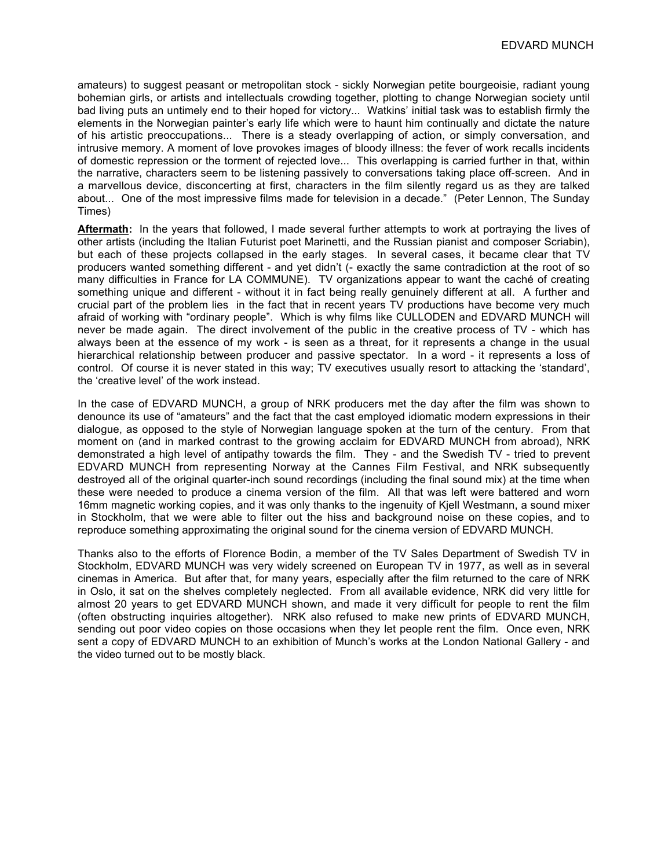amateurs) to suggest peasant or metropolitan stock - sickly Norwegian petite bourgeoisie, radiant young bohemian girls, or artists and intellectuals crowding together, plotting to change Norwegian society until bad living puts an untimely end to their hoped for victory... Watkins' initial task was to establish firmly the elements in the Norwegian painter's early life which were to haunt him continually and dictate the nature of his artistic preoccupations... There is a steady overlapping of action, or simply conversation, and intrusive memory. A moment of love provokes images of bloody illness: the fever of work recalls incidents of domestic repression or the torment of rejected love... This overlapping is carried further in that, within the narrative, characters seem to be listening passively to conversations taking place off-screen. And in a marvellous device, disconcerting at first, characters in the film silently regard us as they are talked about... One of the most impressive films made for television in a decade." (Peter Lennon, The Sunday Times)

**Aftermath:** In the years that followed, I made several further attempts to work at portraying the lives of other artists (including the Italian Futurist poet Marinetti, and the Russian pianist and composer Scriabin), but each of these projects collapsed in the early stages. In several cases, it became clear that TV producers wanted something different - and yet didn't (- exactly the same contradiction at the root of so many difficulties in France for LA COMMUNE). TV organizations appear to want the caché of creating something unique and different - without it in fact being really genuinely different at all. A further and crucial part of the problem lies in the fact that in recent years TV productions have become very much afraid of working with "ordinary people". Which is why films like CULLODEN and EDVARD MUNCH will never be made again. The direct involvement of the public in the creative process of TV - which has always been at the essence of my work - is seen as a threat, for it represents a change in the usual hierarchical relationship between producer and passive spectator. In a word - it represents a loss of control. Of course it is never stated in this way; TV executives usually resort to attacking the 'standard', the 'creative level' of the work instead.

In the case of EDVARD MUNCH, a group of NRK producers met the day after the film was shown to denounce its use of "amateurs" and the fact that the cast employed idiomatic modern expressions in their dialogue, as opposed to the style of Norwegian language spoken at the turn of the century. From that moment on (and in marked contrast to the growing acclaim for EDVARD MUNCH from abroad), NRK demonstrated a high level of antipathy towards the film. They - and the Swedish TV - tried to prevent EDVARD MUNCH from representing Norway at the Cannes Film Festival, and NRK subsequently destroyed all of the original quarter-inch sound recordings (including the final sound mix) at the time when these were needed to produce a cinema version of the film. All that was left were battered and worn 16mm magnetic working copies, and it was only thanks to the ingenuity of Kjell Westmann, a sound mixer in Stockholm, that we were able to filter out the hiss and background noise on these copies, and to reproduce something approximating the original sound for the cinema version of EDVARD MUNCH.

Thanks also to the efforts of Florence Bodin, a member of the TV Sales Department of Swedish TV in Stockholm, EDVARD MUNCH was very widely screened on European TV in 1977, as well as in several cinemas in America. But after that, for many years, especially after the film returned to the care of NRK in Oslo, it sat on the shelves completely neglected. From all available evidence, NRK did very little for almost 20 years to get EDVARD MUNCH shown, and made it very difficult for people to rent the film (often obstructing inquiries altogether). NRK also refused to make new prints of EDVARD MUNCH, sending out poor video copies on those occasions when they let people rent the film. Once even, NRK sent a copy of EDVARD MUNCH to an exhibition of Munch's works at the London National Gallery - and the video turned out to be mostly black.